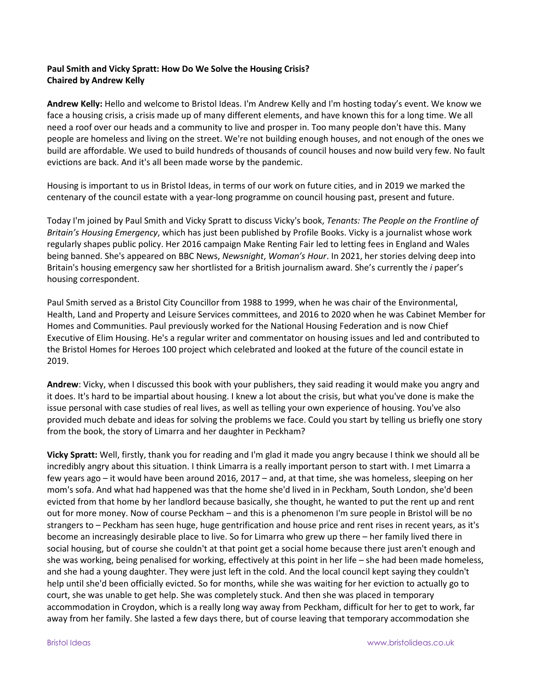## **Paul Smith and Vicky Spratt: How Do We Solve the Housing Crisis? Chaired by Andrew Kelly**

**Andrew Kelly:** Hello and welcome to Bristol Ideas. I'm Andrew Kelly and I'm hosting today's event. We know we face a housing crisis, a crisis made up of many different elements, and have known this for a long time. We all need a roof over our heads and a community to live and prosper in. Too many people don't have this. Many people are homeless and living on the street. We're not building enough houses, and not enough of the ones we build are affordable. We used to build hundreds of thousands of council houses and now build very few. No fault evictions are back. And it's all been made worse by the pandemic.

Housing is important to us in Bristol Ideas, in terms of our work on future cities, and in 2019 we marked the centenary of the council estate with a year-long programme on council housing past, present and future.

Today I'm joined by Paul Smith and Vicky Spratt to discuss Vicky's book, *Tenants: The People on the Frontline of Britain's Housing Emergency*, which has just been published by Profile Books. Vicky is a journalist whose work regularly shapes public policy. Her 2016 campaign Make Renting Fair led to letting fees in England and Wales being banned. She's appeared on BBC News, *Newsnight*, *Woman's Hour*. In 2021, her stories delving deep into Britain's housing emergency saw her shortlisted for a British journalism award. She's currently the *i* paper's housing correspondent.

Paul Smith served as a Bristol City Councillor from 1988 to 1999, when he was chair of the Environmental, Health, Land and Property and Leisure Services committees, and 2016 to 2020 when he was Cabinet Member for Homes and Communities. Paul previously worked for the National Housing Federation and is now Chief Executive of Elim Housing. He's a regular writer and commentator on housing issues and led and contributed to the Bristol Homes for Heroes 100 project which celebrated and looked at the future of the council estate in 2019.

**Andrew**: Vicky, when I discussed this book with your publishers, they said reading it would make you angry and it does. It's hard to be impartial about housing. I knew a lot about the crisis, but what you've done is make the issue personal with case studies of real lives, as well as telling your own experience of housing. You've also provided much debate and ideas for solving the problems we face. Could you start by telling us briefly one story from the book, the story of Limarra and her daughter in Peckham?

**Vicky Spratt:** Well, firstly, thank you for reading and I'm glad it made you angry because I think we should all be incredibly angry about this situation. I think Limarra is a really important person to start with. I met Limarra a few years ago – it would have been around 2016, 2017 – and, at that time, she was homeless, sleeping on her mom's sofa. And what had happened was that the home she'd lived in in Peckham, South London, she'd been evicted from that home by her landlord because basically, she thought, he wanted to put the rent up and rent out for more money. Now of course Peckham – and this is a phenomenon I'm sure people in Bristol will be no strangers to – Peckham has seen huge, huge gentrification and house price and rent rises in recent years, as it's become an increasingly desirable place to live. So for Limarra who grew up there – her family lived there in social housing, but of course she couldn't at that point get a social home because there just aren't enough and she was working, being penalised for working, effectively at this point in her life – she had been made homeless, and she had a young daughter. They were just left in the cold. And the local council kept saying they couldn't help until she'd been officially evicted. So for months, while she was waiting for her eviction to actually go to court, she was unable to get help. She was completely stuck. And then she was placed in temporary accommodation in Croydon, which is a really long way away from Peckham, difficult for her to get to work, far away from her family. She lasted a few days there, but of course leaving that temporary accommodation she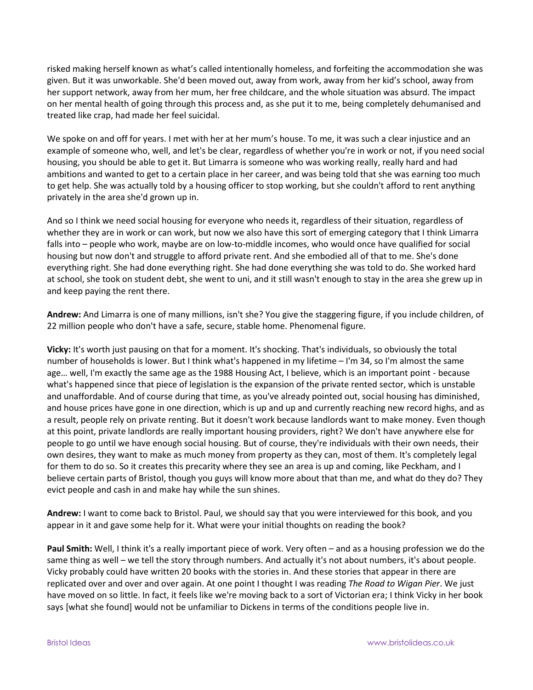risked making herself known as what's called intentionally homeless, and forfeiting the accommodation she was given. But it was unworkable. She'd been moved out, away from work, away from her kid's school, away from her support network, away from her mum, her free childcare, and the whole situation was absurd. The impact on her mental health of going through this process and, as she put it to me, being completely dehumanised and treated like crap, had made her feel suicidal.

We spoke on and off for years. I met with her at her mum's house. To me, it was such a clear injustice and an example of someone who, well, and let's be clear, regardless of whether you're in work or not, if you need social housing, you should be able to get it. But Limarra is someone who was working really, really hard and had ambitions and wanted to get to a certain place in her career, and was being told that she was earning too much to get help. She was actually told by a housing officer to stop working, but she couldn't afford to rent anything privately in the area she'd grown up in.

And so I think we need social housing for everyone who needs it, regardless of their situation, regardless of whether they are in work or can work, but now we also have this sort of emerging category that I think Limarra falls into – people who work, maybe are on low-to-middle incomes, who would once have qualified for social housing but now don't and struggle to afford private rent. And she embodied all of that to me. She's done everything right. She had done everything right. She had done everything she was told to do. She worked hard at school, she took on student debt, she went to uni, and it still wasn't enough to stay in the area she grew up in and keep paying the rent there.

**Andrew:** And Limarra is one of many millions, isn't she? You give the staggering figure, if you include children, of 22 million people who don't have a safe, secure, stable home. Phenomenal figure.

**Vicky:** It's worth just pausing on that for a moment. It's shocking. That's individuals, so obviously the total number of households is lower. But I think what's happened in my lifetime – I'm 34, so I'm almost the same age… well, I'm exactly the same age as the 1988 Housing Act, I believe, which is an important point - because what's happened since that piece of legislation is the expansion of the private rented sector, which is unstable and unaffordable. And of course during that time, as you've already pointed out, social housing has diminished, and house prices have gone in one direction, which is up and up and currently reaching new record highs, and as a result, people rely on private renting. But it doesn't work because landlords want to make money. Even though at this point, private landlords are really important housing providers, right? We don't have anywhere else for people to go until we have enough social housing. But of course, they're individuals with their own needs, their own desires, they want to make as much money from property as they can, most of them. It's completely legal for them to do so. So it creates this precarity where they see an area is up and coming, like Peckham, and I believe certain parts of Bristol, though you guys will know more about that than me, and what do they do? They evict people and cash in and make hay while the sun shines.

**Andrew:** I want to come back to Bristol. Paul, we should say that you were interviewed for this book, and you appear in it and gave some help for it. What were your initial thoughts on reading the book?

**Paul Smith:** Well, I think it's a really important piece of work. Very often – and as a housing profession we do the same thing as well – we tell the story through numbers. And actually it's not about numbers, it's about people. Vicky probably could have written 20 books with the stories in. And these stories that appear in there are replicated over and over and over again. At one point I thought I was reading *The Road to Wigan Pier*. We just have moved on so little. In fact, it feels like we're moving back to a sort of Victorian era; I think Vicky in her book says [what she found] would not be unfamiliar to Dickens in terms of the conditions people live in.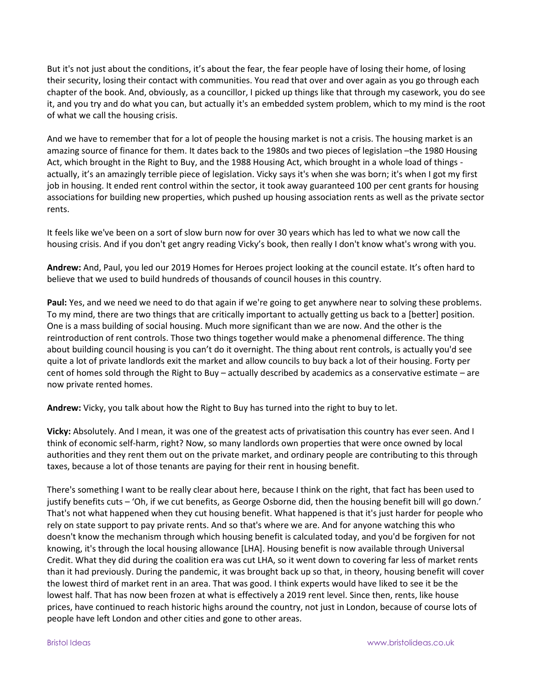But it's not just about the conditions, it's about the fear, the fear people have of losing their home, of losing their security, losing their contact with communities. You read that over and over again as you go through each chapter of the book. And, obviously, as a councillor, I picked up things like that through my casework, you do see it, and you try and do what you can, but actually it's an embedded system problem, which to my mind is the root of what we call the housing crisis.

And we have to remember that for a lot of people the housing market is not a crisis. The housing market is an amazing source of finance for them. It dates back to the 1980s and two pieces of legislation –the 1980 Housing Act, which brought in the Right to Buy, and the 1988 Housing Act, which brought in a whole load of things actually, it's an amazingly terrible piece of legislation. Vicky says it's when she was born; it's when I got my first job in housing. It ended rent control within the sector, it took away guaranteed 100 per cent grants for housing associations for building new properties, which pushed up housing association rents as well as the private sector rents.

It feels like we've been on a sort of slow burn now for over 30 years which has led to what we now call the housing crisis. And if you don't get angry reading Vicky's book, then really I don't know what's wrong with you.

**Andrew:** And, Paul, you led our 2019 Homes for Heroes project looking at the council estate. It's often hard to believe that we used to build hundreds of thousands of council houses in this country.

**Paul:** Yes, and we need we need to do that again if we're going to get anywhere near to solving these problems. To my mind, there are two things that are critically important to actually getting us back to a [better] position. One is a mass building of social housing. Much more significant than we are now. And the other is the reintroduction of rent controls. Those two things together would make a phenomenal difference. The thing about building council housing is you can't do it overnight. The thing about rent controls, is actually you'd see quite a lot of private landlords exit the market and allow councils to buy back a lot of their housing. Forty per cent of homes sold through the Right to Buy – actually described by academics as a conservative estimate – are now private rented homes.

**Andrew:** Vicky, you talk about how the Right to Buy has turned into the right to buy to let.

**Vicky:** Absolutely. And I mean, it was one of the greatest acts of privatisation this country has ever seen. And I think of economic self-harm, right? Now, so many landlords own properties that were once owned by local authorities and they rent them out on the private market, and ordinary people are contributing to this through taxes, because a lot of those tenants are paying for their rent in housing benefit.

There's something I want to be really clear about here, because I think on the right, that fact has been used to justify benefits cuts – 'Oh, if we cut benefits, as George Osborne did, then the housing benefit bill will go down.' That's not what happened when they cut housing benefit. What happened is that it's just harder for people who rely on state support to pay private rents. And so that's where we are. And for anyone watching this who doesn't know the mechanism through which housing benefit is calculated today, and you'd be forgiven for not knowing, it's through the local housing allowance [LHA]. Housing benefit is now available through Universal Credit. What they did during the coalition era was cut LHA, so it went down to covering far less of market rents than it had previously. During the pandemic, it was brought back up so that, in theory, housing benefit will cover the lowest third of market rent in an area. That was good. I think experts would have liked to see it be the lowest half. That has now been frozen at what is effectively a 2019 rent level. Since then, rents, like house prices, have continued to reach historic highs around the country, not just in London, because of course lots of people have left London and other cities and gone to other areas.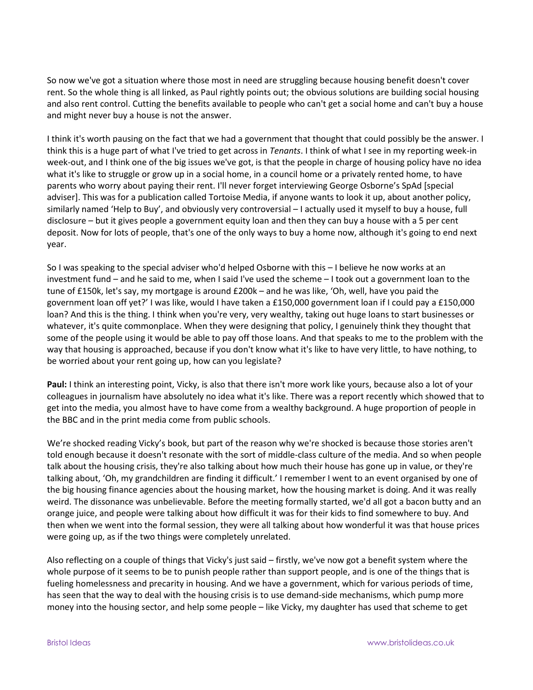So now we've got a situation where those most in need are struggling because housing benefit doesn't cover rent. So the whole thing is all linked, as Paul rightly points out; the obvious solutions are building social housing and also rent control. Cutting the benefits available to people who can't get a social home and can't buy a house and might never buy a house is not the answer.

I think it's worth pausing on the fact that we had a government that thought that could possibly be the answer. I think this is a huge part of what I've tried to get across in *Tenants*. I think of what I see in my reporting week-in week-out, and I think one of the big issues we've got, is that the people in charge of housing policy have no idea what it's like to struggle or grow up in a social home, in a council home or a privately rented home, to have parents who worry about paying their rent. I'll never forget interviewing George Osborne's SpAd [special adviser]. This was for a publication called Tortoise Media, if anyone wants to look it up, about another policy, similarly named 'Help to Buy', and obviously very controversial – I actually used it myself to buy a house, full disclosure – but it gives people a government equity loan and then they can buy a house with a 5 per cent deposit. Now for lots of people, that's one of the only ways to buy a home now, although it's going to end next year.

So I was speaking to the special adviser who'd helped Osborne with this – I believe he now works at an investment fund – and he said to me, when I said I've used the scheme – I took out a government loan to the tune of £150k, let's say, my mortgage is around £200k – and he was like, 'Oh, well, have you paid the government loan off yet?' I was like, would I have taken a £150,000 government loan if I could pay a £150,000 loan? And this is the thing. I think when you're very, very wealthy, taking out huge loans to start businesses or whatever, it's quite commonplace. When they were designing that policy, I genuinely think they thought that some of the people using it would be able to pay off those loans. And that speaks to me to the problem with the way that housing is approached, because if you don't know what it's like to have very little, to have nothing, to be worried about your rent going up, how can you legislate?

Paul: I think an interesting point, Vicky, is also that there isn't more work like yours, because also a lot of your colleagues in journalism have absolutely no idea what it's like. There was a report recently which showed that to get into the media, you almost have to have come from a wealthy background. A huge proportion of people in the BBC and in the print media come from public schools.

We're shocked reading Vicky's book, but part of the reason why we're shocked is because those stories aren't told enough because it doesn't resonate with the sort of middle-class culture of the media. And so when people talk about the housing crisis, they're also talking about how much their house has gone up in value, or they're talking about, 'Oh, my grandchildren are finding it difficult.' I remember I went to an event organised by one of the big housing finance agencies about the housing market, how the housing market is doing. And it was really weird. The dissonance was unbelievable. Before the meeting formally started, we'd all got a bacon butty and an orange juice, and people were talking about how difficult it was for their kids to find somewhere to buy. And then when we went into the formal session, they were all talking about how wonderful it was that house prices were going up, as if the two things were completely unrelated.

Also reflecting on a couple of things that Vicky's just said – firstly, we've now got a benefit system where the whole purpose of it seems to be to punish people rather than support people, and is one of the things that is fueling homelessness and precarity in housing. And we have a government, which for various periods of time, has seen that the way to deal with the housing crisis is to use demand-side mechanisms, which pump more money into the housing sector, and help some people – like Vicky, my daughter has used that scheme to get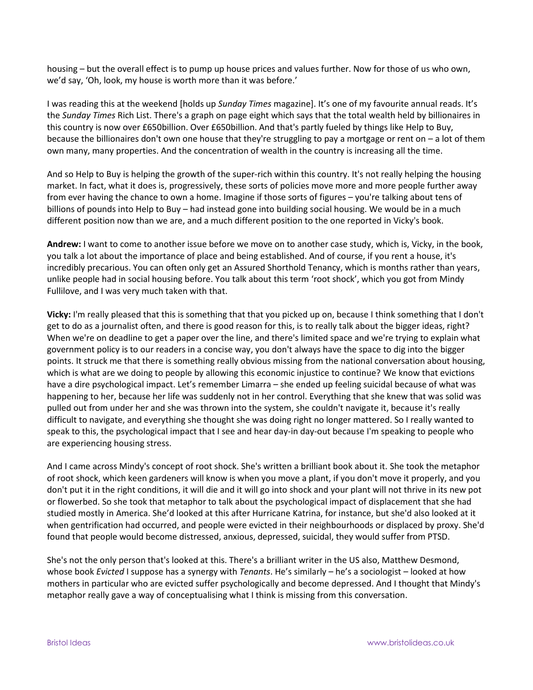housing – but the overall effect is to pump up house prices and values further. Now for those of us who own, we'd say, 'Oh, look, my house is worth more than it was before.'

I was reading this at the weekend [holds up *Sunday Times* magazine]. It's one of my favourite annual reads. It's the *Sunday Times* Rich List. There's a graph on page eight which says that the total wealth held by billionaires in this country is now over £650billion. Over £650billion. And that's partly fueled by things like Help to Buy, because the billionaires don't own one house that they're struggling to pay a mortgage or rent on – a lot of them own many, many properties. And the concentration of wealth in the country is increasing all the time.

And so Help to Buy is helping the growth of the super-rich within this country. It's not really helping the housing market. In fact, what it does is, progressively, these sorts of policies move more and more people further away from ever having the chance to own a home. Imagine if those sorts of figures – you're talking about tens of billions of pounds into Help to Buy – had instead gone into building social housing. We would be in a much different position now than we are, and a much different position to the one reported in Vicky's book.

**Andrew:** I want to come to another issue before we move on to another case study, which is, Vicky, in the book, you talk a lot about the importance of place and being established. And of course, if you rent a house, it's incredibly precarious. You can often only get an Assured Shorthold Tenancy, which is months rather than years, unlike people had in social housing before. You talk about this term 'root shock', which you got from Mindy Fullilove, and I was very much taken with that.

**Vicky:** I'm really pleased that this is something that that you picked up on, because I think something that I don't get to do as a journalist often, and there is good reason for this, is to really talk about the bigger ideas, right? When we're on deadline to get a paper over the line, and there's limited space and we're trying to explain what government policy is to our readers in a concise way, you don't always have the space to dig into the bigger points. It struck me that there is something really obvious missing from the national conversation about housing, which is what are we doing to people by allowing this economic injustice to continue? We know that evictions have a dire psychological impact. Let's remember Limarra – she ended up feeling suicidal because of what was happening to her, because her life was suddenly not in her control. Everything that she knew that was solid was pulled out from under her and she was thrown into the system, she couldn't navigate it, because it's really difficult to navigate, and everything she thought she was doing right no longer mattered. So I really wanted to speak to this, the psychological impact that I see and hear day-in day-out because I'm speaking to people who are experiencing housing stress.

And I came across Mindy's concept of root shock. She's written a brilliant book about it. She took the metaphor of root shock, which keen gardeners will know is when you move a plant, if you don't move it properly, and you don't put it in the right conditions, it will die and it will go into shock and your plant will not thrive in its new pot or flowerbed. So she took that metaphor to talk about the psychological impact of displacement that she had studied mostly in America. She'd looked at this after Hurricane Katrina, for instance, but she'd also looked at it when gentrification had occurred, and people were evicted in their neighbourhoods or displaced by proxy. She'd found that people would become distressed, anxious, depressed, suicidal, they would suffer from PTSD.

She's not the only person that's looked at this. There's a brilliant writer in the US also, Matthew Desmond, whose book *Evicted* I suppose has a synergy with *Tenants*. He's similarly – he's a sociologist – looked at how mothers in particular who are evicted suffer psychologically and become depressed. And I thought that Mindy's metaphor really gave a way of conceptualising what I think is missing from this conversation.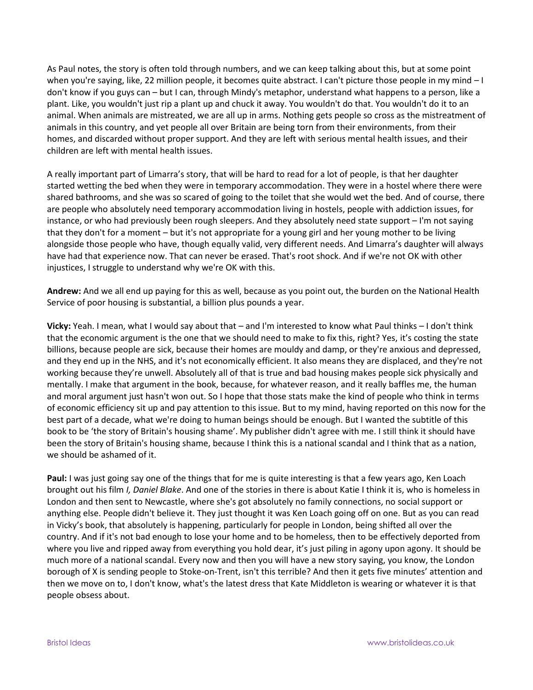As Paul notes, the story is often told through numbers, and we can keep talking about this, but at some point when you're saying, like, 22 million people, it becomes quite abstract. I can't picture those people in my mind - I don't know if you guys can – but I can, through Mindy's metaphor, understand what happens to a person, like a plant. Like, you wouldn't just rip a plant up and chuck it away. You wouldn't do that. You wouldn't do it to an animal. When animals are mistreated, we are all up in arms. Nothing gets people so cross as the mistreatment of animals in this country, and yet people all over Britain are being torn from their environments, from their homes, and discarded without proper support. And they are left with serious mental health issues, and their children are left with mental health issues.

A really important part of Limarra's story, that will be hard to read for a lot of people, is that her daughter started wetting the bed when they were in temporary accommodation. They were in a hostel where there were shared bathrooms, and she was so scared of going to the toilet that she would wet the bed. And of course, there are people who absolutely need temporary accommodation living in hostels, people with addiction issues, for instance, or who had previously been rough sleepers. And they absolutely need state support – I'm not saying that they don't for a moment – but it's not appropriate for a young girl and her young mother to be living alongside those people who have, though equally valid, very different needs. And Limarra's daughter will always have had that experience now. That can never be erased. That's root shock. And if we're not OK with other injustices, I struggle to understand why we're OK with this.

**Andrew:** And we all end up paying for this as well, because as you point out, the burden on the National Health Service of poor housing is substantial, a billion plus pounds a year.

**Vicky:** Yeah. I mean, what I would say about that – and I'm interested to know what Paul thinks – I don't think that the economic argument is the one that we should need to make to fix this, right? Yes, it's costing the state billions, because people are sick, because their homes are mouldy and damp, or they're anxious and depressed, and they end up in the NHS, and it's not economically efficient. It also means they are displaced, and they're not working because they're unwell. Absolutely all of that is true and bad housing makes people sick physically and mentally. I make that argument in the book, because, for whatever reason, and it really baffles me, the human and moral argument just hasn't won out. So I hope that those stats make the kind of people who think in terms of economic efficiency sit up and pay attention to this issue. But to my mind, having reported on this now for the best part of a decade, what we're doing to human beings should be enough. But I wanted the subtitle of this book to be 'the story of Britain's housing shame'. My publisher didn't agree with me. I still think it should have been the story of Britain's housing shame, because I think this is a national scandal and I think that as a nation, we should be ashamed of it.

**Paul:** I was just going say one of the things that for me is quite interesting is that a few years ago, Ken Loach brought out his film *I, Daniel Blake*. And one of the stories in there is about Katie I think it is, who is homeless in London and then sent to Newcastle, where she's got absolutely no family connections, no social support or anything else. People didn't believe it. They just thought it was Ken Loach going off on one. But as you can read in Vicky's book, that absolutely is happening, particularly for people in London, being shifted all over the country. And if it's not bad enough to lose your home and to be homeless, then to be effectively deported from where you live and ripped away from everything you hold dear, it's just piling in agony upon agony. It should be much more of a national scandal. Every now and then you will have a new story saying, you know, the London borough of X is sending people to Stoke-on-Trent, isn't this terrible? And then it gets five minutes' attention and then we move on to, I don't know, what's the latest dress that Kate Middleton is wearing or whatever it is that people obsess about.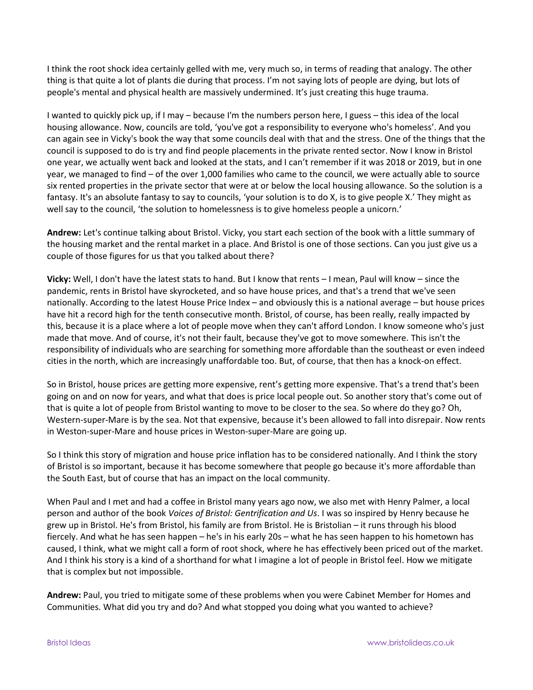I think the root shock idea certainly gelled with me, very much so, in terms of reading that analogy. The other thing is that quite a lot of plants die during that process. I'm not saying lots of people are dying, but lots of people's mental and physical health are massively undermined. It's just creating this huge trauma.

I wanted to quickly pick up, if I may – because I'm the numbers person here, I guess – this idea of the local housing allowance. Now, councils are told, 'you've got a responsibility to everyone who's homeless'. And you can again see in Vicky's book the way that some councils deal with that and the stress. One of the things that the council is supposed to do is try and find people placements in the private rented sector. Now I know in Bristol one year, we actually went back and looked at the stats, and I can't remember if it was 2018 or 2019, but in one year, we managed to find – of the over 1,000 families who came to the council, we were actually able to source six rented properties in the private sector that were at or below the local housing allowance. So the solution is a fantasy. It's an absolute fantasy to say to councils, 'your solution is to do X, is to give people X.' They might as well say to the council, 'the solution to homelessness is to give homeless people a unicorn.'

**Andrew:** Let's continue talking about Bristol. Vicky, you start each section of the book with a little summary of the housing market and the rental market in a place. And Bristol is one of those sections. Can you just give us a couple of those figures for us that you talked about there?

**Vicky:** Well, I don't have the latest stats to hand. But I know that rents – I mean, Paul will know – since the pandemic, rents in Bristol have skyrocketed, and so have house prices, and that's a trend that we've seen nationally. According to the latest House Price Index – and obviously this is a national average – but house prices have hit a record high for the tenth consecutive month. Bristol, of course, has been really, really impacted by this, because it is a place where a lot of people move when they can't afford London. I know someone who's just made that move. And of course, it's not their fault, because they've got to move somewhere. This isn't the responsibility of individuals who are searching for something more affordable than the southeast or even indeed cities in the north, which are increasingly unaffordable too. But, of course, that then has a knock-on effect.

So in Bristol, house prices are getting more expensive, rent's getting more expensive. That's a trend that's been going on and on now for years, and what that does is price local people out. So another story that's come out of that is quite a lot of people from Bristol wanting to move to be closer to the sea. So where do they go? Oh, Western-super-Mare is by the sea. Not that expensive, because it's been allowed to fall into disrepair. Now rents in Weston-super-Mare and house prices in Weston-super-Mare are going up.

So I think this story of migration and house price inflation has to be considered nationally. And I think the story of Bristol is so important, because it has become somewhere that people go because it's more affordable than the South East, but of course that has an impact on the local community.

When Paul and I met and had a coffee in Bristol many years ago now, we also met with Henry Palmer, a local person and author of the book *Voices of Bristol: Gentrification and Us*. I was so inspired by Henry because he grew up in Bristol. He's from Bristol, his family are from Bristol. He is Bristolian – it runs through his blood fiercely. And what he has seen happen – he's in his early 20s – what he has seen happen to his hometown has caused, I think, what we might call a form of root shock, where he has effectively been priced out of the market. And I think his story is a kind of a shorthand for what I imagine a lot of people in Bristol feel. How we mitigate that is complex but not impossible.

**Andrew:** Paul, you tried to mitigate some of these problems when you were Cabinet Member for Homes and Communities. What did you try and do? And what stopped you doing what you wanted to achieve?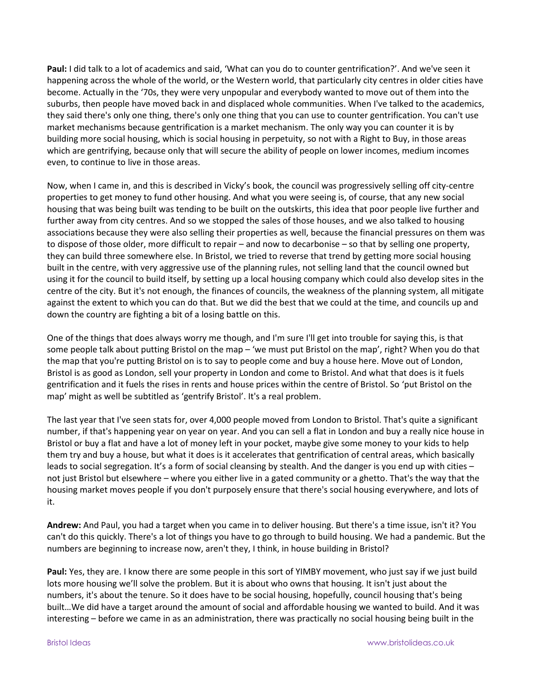**Paul:** I did talk to a lot of academics and said, 'What can you do to counter gentrification?'. And we've seen it happening across the whole of the world, or the Western world, that particularly city centres in older cities have become. Actually in the '70s, they were very unpopular and everybody wanted to move out of them into the suburbs, then people have moved back in and displaced whole communities. When I've talked to the academics, they said there's only one thing, there's only one thing that you can use to counter gentrification. You can't use market mechanisms because gentrification is a market mechanism. The only way you can counter it is by building more social housing, which is social housing in perpetuity, so not with a Right to Buy, in those areas which are gentrifying, because only that will secure the ability of people on lower incomes, medium incomes even, to continue to live in those areas.

Now, when I came in, and this is described in Vicky's book, the council was progressively selling off city-centre properties to get money to fund other housing. And what you were seeing is, of course, that any new social housing that was being built was tending to be built on the outskirts, this idea that poor people live further and further away from city centres. And so we stopped the sales of those houses, and we also talked to housing associations because they were also selling their properties as well, because the financial pressures on them was to dispose of those older, more difficult to repair – and now to decarbonise – so that by selling one property, they can build three somewhere else. In Bristol, we tried to reverse that trend by getting more social housing built in the centre, with very aggressive use of the planning rules, not selling land that the council owned but using it for the council to build itself, by setting up a local housing company which could also develop sites in the centre of the city. But it's not enough, the finances of councils, the weakness of the planning system, all mitigate against the extent to which you can do that. But we did the best that we could at the time, and councils up and down the country are fighting a bit of a losing battle on this.

One of the things that does always worry me though, and I'm sure I'll get into trouble for saying this, is that some people talk about putting Bristol on the map – 'we must put Bristol on the map', right? When you do that the map that you're putting Bristol on is to say to people come and buy a house here. Move out of London, Bristol is as good as London, sell your property in London and come to Bristol. And what that does is it fuels gentrification and it fuels the rises in rents and house prices within the centre of Bristol. So 'put Bristol on the map' might as well be subtitled as 'gentrify Bristol'. It's a real problem.

The last year that I've seen stats for, over 4,000 people moved from London to Bristol. That's quite a significant number, if that's happening year on year on year. And you can sell a flat in London and buy a really nice house in Bristol or buy a flat and have a lot of money left in your pocket, maybe give some money to your kids to help them try and buy a house, but what it does is it accelerates that gentrification of central areas, which basically leads to social segregation. It's a form of social cleansing by stealth. And the danger is you end up with cities – not just Bristol but elsewhere – where you either live in a gated community or a ghetto. That's the way that the housing market moves people if you don't purposely ensure that there's social housing everywhere, and lots of it.

**Andrew:** And Paul, you had a target when you came in to deliver housing. But there's a time issue, isn't it? You can't do this quickly. There's a lot of things you have to go through to build housing. We had a pandemic. But the numbers are beginning to increase now, aren't they, I think, in house building in Bristol?

**Paul:** Yes, they are. I know there are some people in this sort of YIMBY movement, who just say if we just build lots more housing we'll solve the problem. But it is about who owns that housing. It isn't just about the numbers, it's about the tenure. So it does have to be social housing, hopefully, council housing that's being built…We did have a target around the amount of social and affordable housing we wanted to build. And it was interesting – before we came in as an administration, there was practically no social housing being built in the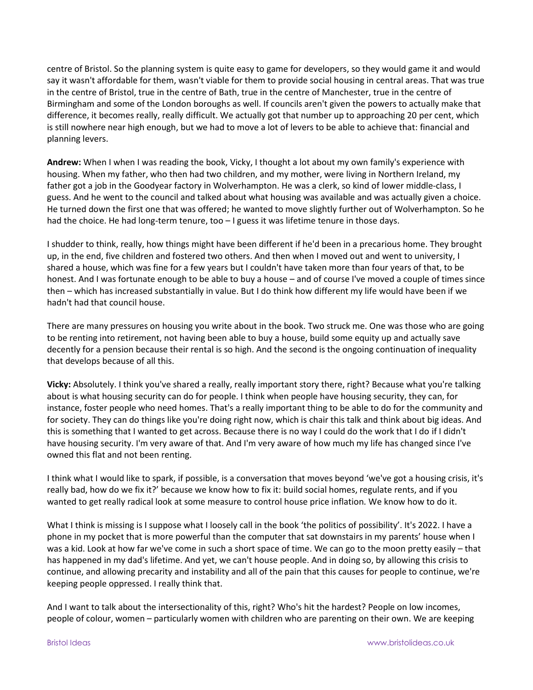centre of Bristol. So the planning system is quite easy to game for developers, so they would game it and would say it wasn't affordable for them, wasn't viable for them to provide social housing in central areas. That was true in the centre of Bristol, true in the centre of Bath, true in the centre of Manchester, true in the centre of Birmingham and some of the London boroughs as well. If councils aren't given the powers to actually make that difference, it becomes really, really difficult. We actually got that number up to approaching 20 per cent, which is still nowhere near high enough, but we had to move a lot of levers to be able to achieve that: financial and planning levers.

**Andrew:** When I when I was reading the book, Vicky, I thought a lot about my own family's experience with housing. When my father, who then had two children, and my mother, were living in Northern Ireland, my father got a job in the Goodyear factory in Wolverhampton. He was a clerk, so kind of lower middle-class, I guess. And he went to the council and talked about what housing was available and was actually given a choice. He turned down the first one that was offered; he wanted to move slightly further out of Wolverhampton. So he had the choice. He had long-term tenure, too - I guess it was lifetime tenure in those days.

I shudder to think, really, how things might have been different if he'd been in a precarious home. They brought up, in the end, five children and fostered two others. And then when I moved out and went to university, I shared a house, which was fine for a few years but I couldn't have taken more than four years of that, to be honest. And I was fortunate enough to be able to buy a house – and of course I've moved a couple of times since then – which has increased substantially in value. But I do think how different my life would have been if we hadn't had that council house.

There are many pressures on housing you write about in the book. Two struck me. One was those who are going to be renting into retirement, not having been able to buy a house, build some equity up and actually save decently for a pension because their rental is so high. And the second is the ongoing continuation of inequality that develops because of all this.

**Vicky:** Absolutely. I think you've shared a really, really important story there, right? Because what you're talking about is what housing security can do for people. I think when people have housing security, they can, for instance, foster people who need homes. That's a really important thing to be able to do for the community and for society. They can do things like you're doing right now, which is chair this talk and think about big ideas. And this is something that I wanted to get across. Because there is no way I could do the work that I do if I didn't have housing security. I'm very aware of that. And I'm very aware of how much my life has changed since I've owned this flat and not been renting.

I think what I would like to spark, if possible, is a conversation that moves beyond 'we've got a housing crisis, it's really bad, how do we fix it?' because we know how to fix it: build social homes, regulate rents, and if you wanted to get really radical look at some measure to control house price inflation. We know how to do it.

What I think is missing is I suppose what I loosely call in the book 'the politics of possibility'. It's 2022. I have a phone in my pocket that is more powerful than the computer that sat downstairs in my parents' house when I was a kid. Look at how far we've come in such a short space of time. We can go to the moon pretty easily – that has happened in my dad's lifetime. And yet, we can't house people. And in doing so, by allowing this crisis to continue, and allowing precarity and instability and all of the pain that this causes for people to continue, we're keeping people oppressed. I really think that.

And I want to talk about the intersectionality of this, right? Who's hit the hardest? People on low incomes, people of colour, women – particularly women with children who are parenting on their own. We are keeping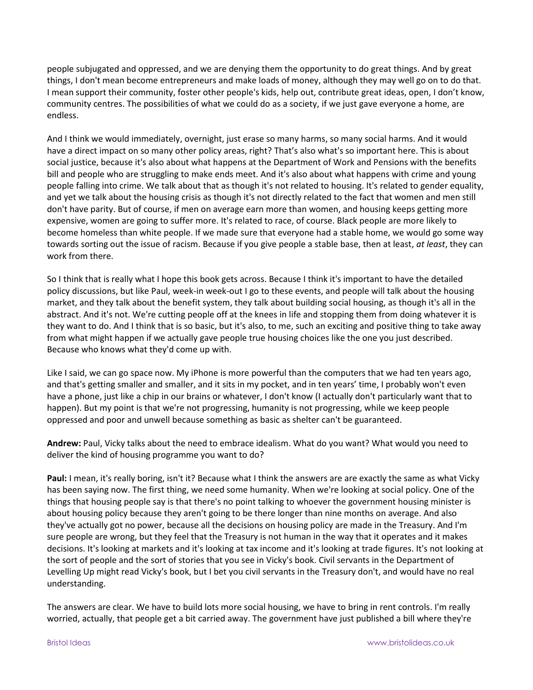people subjugated and oppressed, and we are denying them the opportunity to do great things. And by great things, I don't mean become entrepreneurs and make loads of money, although they may well go on to do that. I mean support their community, foster other people's kids, help out, contribute great ideas, open, I don't know, community centres. The possibilities of what we could do as a society, if we just gave everyone a home, are endless.

And I think we would immediately, overnight, just erase so many harms, so many social harms. And it would have a direct impact on so many other policy areas, right? That's also what's so important here. This is about social justice, because it's also about what happens at the Department of Work and Pensions with the benefits bill and people who are struggling to make ends meet. And it's also about what happens with crime and young people falling into crime. We talk about that as though it's not related to housing. It's related to gender equality, and yet we talk about the housing crisis as though it's not directly related to the fact that women and men still don't have parity. But of course, if men on average earn more than women, and housing keeps getting more expensive, women are going to suffer more. It's related to race, of course. Black people are more likely to become homeless than white people. If we made sure that everyone had a stable home, we would go some way towards sorting out the issue of racism. Because if you give people a stable base, then at least, *at least*, they can work from there.

So I think that is really what I hope this book gets across. Because I think it's important to have the detailed policy discussions, but like Paul, week-in week-out I go to these events, and people will talk about the housing market, and they talk about the benefit system, they talk about building social housing, as though it's all in the abstract. And it's not. We're cutting people off at the knees in life and stopping them from doing whatever it is they want to do. And I think that is so basic, but it's also, to me, such an exciting and positive thing to take away from what might happen if we actually gave people true housing choices like the one you just described. Because who knows what they'd come up with.

Like I said, we can go space now. My iPhone is more powerful than the computers that we had ten years ago, and that's getting smaller and smaller, and it sits in my pocket, and in ten years' time, I probably won't even have a phone, just like a chip in our brains or whatever, I don't know (I actually don't particularly want that to happen). But my point is that we're not progressing, humanity is not progressing, while we keep people oppressed and poor and unwell because something as basic as shelter can't be guaranteed.

**Andrew:** Paul, Vicky talks about the need to embrace idealism. What do you want? What would you need to deliver the kind of housing programme you want to do?

**Paul:** I mean, it's really boring, isn't it? Because what I think the answers are are exactly the same as what Vicky has been saying now. The first thing, we need some humanity. When we're looking at social policy. One of the things that housing people say is that there's no point talking to whoever the government housing minister is about housing policy because they aren't going to be there longer than nine months on average. And also they've actually got no power, because all the decisions on housing policy are made in the Treasury. And I'm sure people are wrong, but they feel that the Treasury is not human in the way that it operates and it makes decisions. It's looking at markets and it's looking at tax income and it's looking at trade figures. It's not looking at the sort of people and the sort of stories that you see in Vicky's book. Civil servants in the Department of Levelling Up might read Vicky's book, but I bet you civil servants in the Treasury don't, and would have no real understanding.

The answers are clear. We have to build lots more social housing, we have to bring in rent controls. I'm really worried, actually, that people get a bit carried away. The government have just published a bill where they're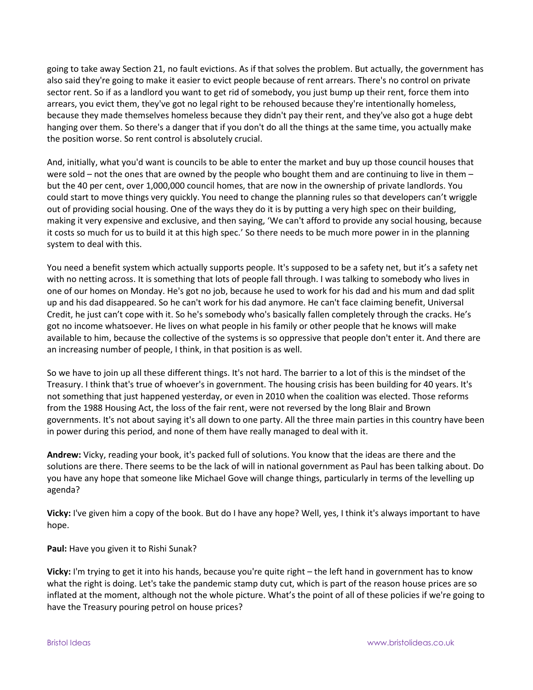going to take away Section 21, no fault evictions. As if that solves the problem. But actually, the government has also said they're going to make it easier to evict people because of rent arrears. There's no control on private sector rent. So if as a landlord you want to get rid of somebody, you just bump up their rent, force them into arrears, you evict them, they've got no legal right to be rehoused because they're intentionally homeless, because they made themselves homeless because they didn't pay their rent, and they've also got a huge debt hanging over them. So there's a danger that if you don't do all the things at the same time, you actually make the position worse. So rent control is absolutely crucial.

And, initially, what you'd want is councils to be able to enter the market and buy up those council houses that were sold – not the ones that are owned by the people who bought them and are continuing to live in them – but the 40 per cent, over 1,000,000 council homes, that are now in the ownership of private landlords. You could start to move things very quickly. You need to change the planning rules so that developers can't wriggle out of providing social housing. One of the ways they do it is by putting a very high spec on their building, making it very expensive and exclusive, and then saying, 'We can't afford to provide any social housing, because it costs so much for us to build it at this high spec.' So there needs to be much more power in in the planning system to deal with this.

You need a benefit system which actually supports people. It's supposed to be a safety net, but it's a safety net with no netting across. It is something that lots of people fall through. I was talking to somebody who lives in one of our homes on Monday. He's got no job, because he used to work for his dad and his mum and dad split up and his dad disappeared. So he can't work for his dad anymore. He can't face claiming benefit, Universal Credit, he just can't cope with it. So he's somebody who's basically fallen completely through the cracks. He's got no income whatsoever. He lives on what people in his family or other people that he knows will make available to him, because the collective of the systems is so oppressive that people don't enter it. And there are an increasing number of people, I think, in that position is as well.

So we have to join up all these different things. It's not hard. The barrier to a lot of this is the mindset of the Treasury. I think that's true of whoever's in government. The housing crisis has been building for 40 years. It's not something that just happened yesterday, or even in 2010 when the coalition was elected. Those reforms from the 1988 Housing Act, the loss of the fair rent, were not reversed by the long Blair and Brown governments. It's not about saying it's all down to one party. All the three main parties in this country have been in power during this period, and none of them have really managed to deal with it.

**Andrew:** Vicky, reading your book, it's packed full of solutions. You know that the ideas are there and the solutions are there. There seems to be the lack of will in national government as Paul has been talking about. Do you have any hope that someone like Michael Gove will change things, particularly in terms of the levelling up agenda?

**Vicky:** I've given him a copy of the book. But do I have any hope? Well, yes, I think it's always important to have hope.

**Paul:** Have you given it to Rishi Sunak?

**Vicky:** I'm trying to get it into his hands, because you're quite right – the left hand in government has to know what the right is doing. Let's take the pandemic stamp duty cut, which is part of the reason house prices are so inflated at the moment, although not the whole picture. What's the point of all of these policies if we're going to have the Treasury pouring petrol on house prices?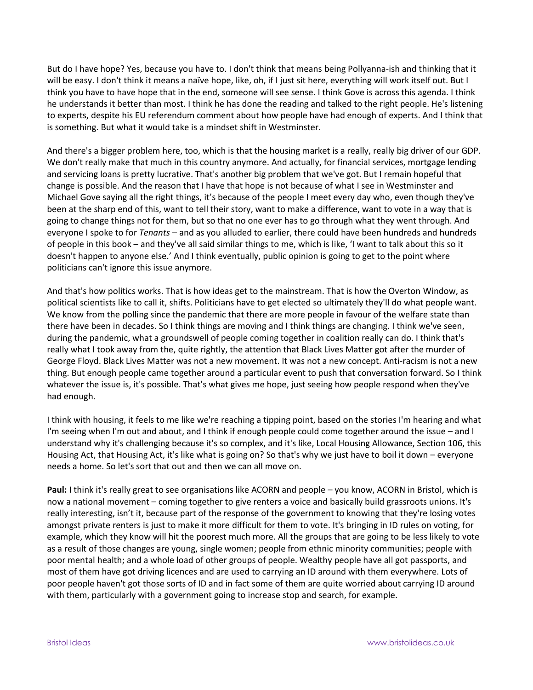But do I have hope? Yes, because you have to. I don't think that means being Pollyanna-ish and thinking that it will be easy. I don't think it means a naïve hope, like, oh, if I just sit here, everything will work itself out. But I think you have to have hope that in the end, someone will see sense. I think Gove is across this agenda. I think he understands it better than most. I think he has done the reading and talked to the right people. He's listening to experts, despite his EU referendum comment about how people have had enough of experts. And I think that is something. But what it would take is a mindset shift in Westminster.

And there's a bigger problem here, too, which is that the housing market is a really, really big driver of our GDP. We don't really make that much in this country anymore. And actually, for financial services, mortgage lending and servicing loans is pretty lucrative. That's another big problem that we've got. But I remain hopeful that change is possible. And the reason that I have that hope is not because of what I see in Westminster and Michael Gove saying all the right things, it's because of the people I meet every day who, even though they've been at the sharp end of this, want to tell their story, want to make a difference, want to vote in a way that is going to change things not for them, but so that no one ever has to go through what they went through. And everyone I spoke to for *Tenants* – and as you alluded to earlier, there could have been hundreds and hundreds of people in this book – and they've all said similar things to me, which is like, 'I want to talk about this so it doesn't happen to anyone else.' And I think eventually, public opinion is going to get to the point where politicians can't ignore this issue anymore.

And that's how politics works. That is how ideas get to the mainstream. That is how the Overton Window, as political scientists like to call it, shifts. Politicians have to get elected so ultimately they'll do what people want. We know from the polling since the pandemic that there are more people in favour of the welfare state than there have been in decades. So I think things are moving and I think things are changing. I think we've seen, during the pandemic, what a groundswell of people coming together in coalition really can do. I think that's really what I took away from the, quite rightly, the attention that Black Lives Matter got after the murder of George Floyd. Black Lives Matter was not a new movement. It was not a new concept. Anti-racism is not a new thing. But enough people came together around a particular event to push that conversation forward. So I think whatever the issue is, it's possible. That's what gives me hope, just seeing how people respond when they've had enough.

I think with housing, it feels to me like we're reaching a tipping point, based on the stories I'm hearing and what I'm seeing when I'm out and about, and I think if enough people could come together around the issue – and I understand why it's challenging because it's so complex, and it's like, Local Housing Allowance, Section 106, this Housing Act, that Housing Act, it's like what is going on? So that's why we just have to boil it down – everyone needs a home. So let's sort that out and then we can all move on.

**Paul:** I think it's really great to see organisations like ACORN and people – you know, ACORN in Bristol, which is now a national movement – coming together to give renters a voice and basically build grassroots unions. It's really interesting, isn't it, because part of the response of the government to knowing that they're losing votes amongst private renters is just to make it more difficult for them to vote. It's bringing in ID rules on voting, for example, which they know will hit the poorest much more. All the groups that are going to be less likely to vote as a result of those changes are young, single women; people from ethnic minority communities; people with poor mental health; and a whole load of other groups of people. Wealthy people have all got passports, and most of them have got driving licences and are used to carrying an ID around with them everywhere. Lots of poor people haven't got those sorts of ID and in fact some of them are quite worried about carrying ID around with them, particularly with a government going to increase stop and search, for example.